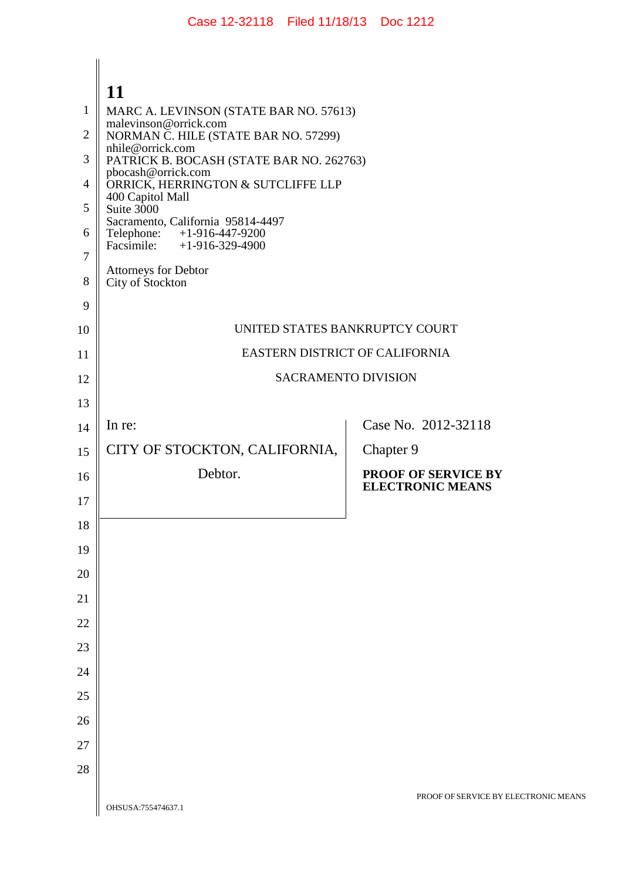## $\Big|_{\mathbf{11}}$

|    | 11                                                              |                                      |
|----|-----------------------------------------------------------------|--------------------------------------|
| 1  | MARC A. LEVINSON (STATE BAR NO. 57613)                          |                                      |
| 2  | malevinson@orrick.com<br>NORMAN C. HILE (STATE BAR NO. 57299)   |                                      |
| 3  | nhile@orrick.com<br>PATRICK B. BOCASH (STATE BAR NO. 262763)    |                                      |
| 4  | pbocash@orrick.com<br>ORRICK, HERRINGTON & SUTCLIFFE LLP        |                                      |
| 5  | 400 Capitol Mall<br>Suite 3000                                  |                                      |
| 6  | Sacramento, California 95814-4497<br>Telephone: +1-916-447-9200 |                                      |
| 7  | Facsimile: $+1-916-329-4900$                                    |                                      |
| 8  | Attorneys for Debtor<br>City of Stockton                        |                                      |
| 9  |                                                                 |                                      |
| 10 | UNITED STATES BANKRUPTCY COURT                                  |                                      |
| 11 | EASTERN DISTRICT OF CALIFORNIA                                  |                                      |
| 12 | <b>SACRAMENTO DIVISION</b>                                      |                                      |
| 13 |                                                                 |                                      |
| 14 | In re:                                                          | Case No. 2012-32118                  |
| 15 | CITY OF STOCKTON, CALIFORNIA,                                   | Chapter 9                            |
| 16 | Debtor.                                                         | <b>PROOF OF SERVICE BY</b>           |
| 17 |                                                                 | <b>ELECTRONIC MEANS</b>              |
| 18 |                                                                 |                                      |
| 19 |                                                                 |                                      |
| 20 |                                                                 |                                      |
| 21 |                                                                 |                                      |
|    |                                                                 |                                      |
| 22 |                                                                 |                                      |
| 23 |                                                                 |                                      |
| 24 |                                                                 |                                      |
| 25 |                                                                 |                                      |
| 26 |                                                                 |                                      |
| 27 |                                                                 |                                      |
| 28 |                                                                 |                                      |
|    | OHSUSA:755474637.1                                              | PROOF OF SERVICE BY ELECTRONIC MEANS |
|    |                                                                 |                                      |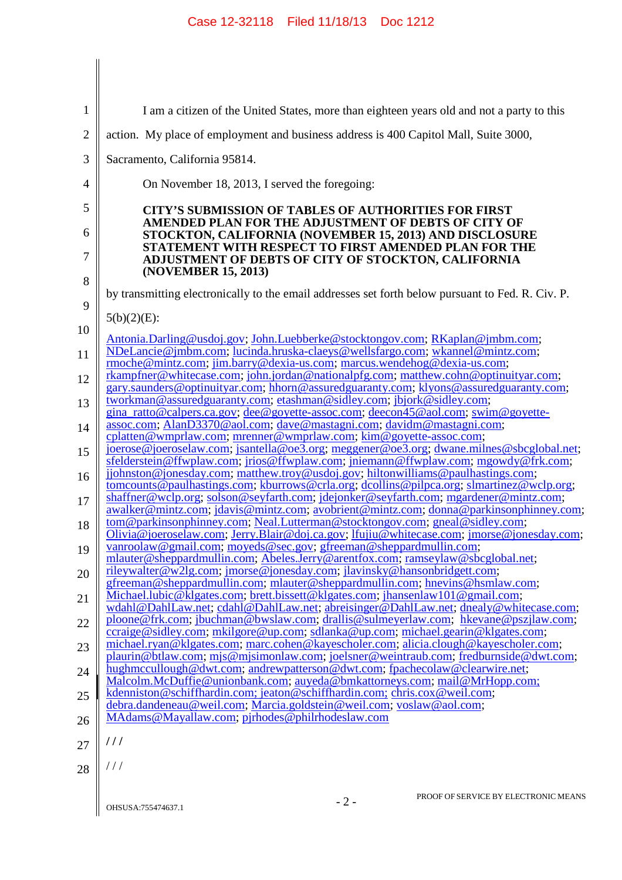| 1              | I am a citizen of the United States, more than eighteen years old and not a party to this                                                                                                                                                   |
|----------------|---------------------------------------------------------------------------------------------------------------------------------------------------------------------------------------------------------------------------------------------|
| $\overline{2}$ | action. My place of employment and business address is 400 Capitol Mall, Suite 3000,                                                                                                                                                        |
| 3              | Sacramento, California 95814.                                                                                                                                                                                                               |
| 4              | On November 18, 2013, I served the foregoing:                                                                                                                                                                                               |
| 5              | <b>CITY'S SUBMISSION OF TABLES OF AUTHORITIES FOR FIRST</b>                                                                                                                                                                                 |
| 6              | AMENDED PLAN FOR THE ADJUSTMENT OF DEBTS OF CITY OF<br>STOCKTON, CALIFORNIA (NOVEMBER 15, 2013) AND DISCLOSURE                                                                                                                              |
| 7              | STATEMENT WITH RESPECT TO FIRST AMENDED PLAN FOR THE<br>ADJUSTMENT OF DEBTS OF CITY OF STOCKTON, CALIFORNIA                                                                                                                                 |
| 8              | (NOVEMBER 15, 2013)<br>by transmitting electronically to the email addresses set forth below pursuant to Fed. R. Civ. P.                                                                                                                    |
| 9              |                                                                                                                                                                                                                                             |
| 10             | $5(b)(2)(E)$ :                                                                                                                                                                                                                              |
| 11             | Antonia.Darling@usdoj.gov; John.Luebberke@stocktongov.com; RKaplan@jmbm.com;<br>NDeLancie@jmbm.com; lucinda.hruska-claeys@wellsfargo.com; wkannel@mintz.com;<br>rmoche@mintz.com; jim.barry@dexia-us.com; marcus.wendehog@dexia-us.com;     |
| 12             | rkampfner@whitecase.com; john.jordan@nationalpfg.com; matthew.cohn@optinuityar.com;<br>gary.saunders@optinuityar.com; hhorn@assuredguaranty.com; klyons@assuredguaranty.com;                                                                |
| 13             | tworkman@assuredguaranty.com; etashman@sidley.com; jbjork@sidley.com;                                                                                                                                                                       |
| 14             | $g$ and ratto@calpers.ca.gov; dee@goyette-assoc.com; deecon45@aol.com; swim@goyette-<br>assoc.com; AlanD3370@aol.com; dave@mastagni.com; davidm@mastagni.com;                                                                               |
| 15             | cplatten@wmprlaw.com; mrenner@wmprlaw.com; kim@goyette-assoc.com;<br>joerose@joeroselaw.com; jsantella@oe3.org; meggener@oe3.org; dwane.milnes@sbcglobal.net;                                                                               |
| 16             | sfelderstein@ffwplaw.com; jrios@ffwplaw.com; jniemann@ffwplaw.com; mgowdy@frk.com;<br>jjohnston@jonesday.com; matthew.troy@usdoj.gov; hiltonwilliams@paulhastings.com;                                                                      |
| 17             | tomcounts@paulhastings.com; kburrows@crla.org; dcollins@pilpca.org; slmartinez@wclp.org;<br>shaffner@wclp.org, solson@seyfarth.com; jdejonker@seyfarth.com; mgardener@mintz.com;                                                            |
| 18             | awalker@mintz.com; jdavis@mintz.com; avobrient@mintz.com; donna@parkinsonphinney.com;<br>tom@parkinsonphinney.com; Neal.Lutterman@stocktongov.com; gneal@sidley.com;                                                                        |
| 19             | Olivia@joeroselaw.com; Jerry.Blair@doj.ca.gov; lfujiu@whitecase.com; jmorse@jonesday.com;<br>vanroolaw@gmail.com; moyeds@sec.gov; gfreeman@sheppardmullin.com;                                                                              |
| 20             | mlauter@sheppardmullin.com; Abeles.Jerry@arentfox.com; ramseylaw@sbcglobal.net;<br>rileywalter@w2lg.com; jmorse@jonesday.com; jlavinsky@hansonbridgett.com;<br>gfreeman@sheppardmullin.com; mlauter@sheppardmullin.com; hnevins@hsmlaw.com; |
| 21             | Michael.lubic@klgates.com; brett.bissett@klgates.com; jhansenlaw101@gmail.com;<br>wdahl@DahlLaw.net; cdahl@DahlLaw.net; abreisinger@DahlLaw.net; dnealy@whitecase.com;                                                                      |
| 22             | ploone@frk.com; jbuchman@bwslaw.com; drallis@sulmeyerlaw.com; hkevane@pszjlaw.com;<br>ccraige@sidley.com; mkilgore@up.com; sdlanka@up.com; michael.gearin@klgates.com;                                                                      |
| 23             | michael.ryan@klgates.com; marc.cohen@kayescholer.com; alicia.clough@kayescholer.com;                                                                                                                                                        |
| 24             | plaurin@btlaw.com; mjs@mjsimonlaw.com; joelsner@weintraub.com; fredburnside@dwt.com;<br>hughmccullough@dwt.com; andrewpatterson@dwt.com; fpachecolaw@clearwire.net;                                                                         |
| 25             | Malcolm.McDuffie@unionbank.com; auyeda@bmkattorneys.com; mail@MrHopp.com;<br>kdenniston@schiffhardin.com; jeaton@schiffhardin.com; chris.cox@weil.com;                                                                                      |
| 26             | debra.dandeneau@weil.com; Marcia.goldstein@weil.com; voslaw@aol.com;<br>MAdams@Mayallaw.com; pjrhodes@philrhodeslaw.com                                                                                                                     |
| 27             | 111                                                                                                                                                                                                                                         |
| 28             | $\frac{1}{2}$                                                                                                                                                                                                                               |
|                | PROOF OF SERVICE BY ELECTRONIC MEANS<br>$-2-$<br>OHSUSA:755474637.1                                                                                                                                                                         |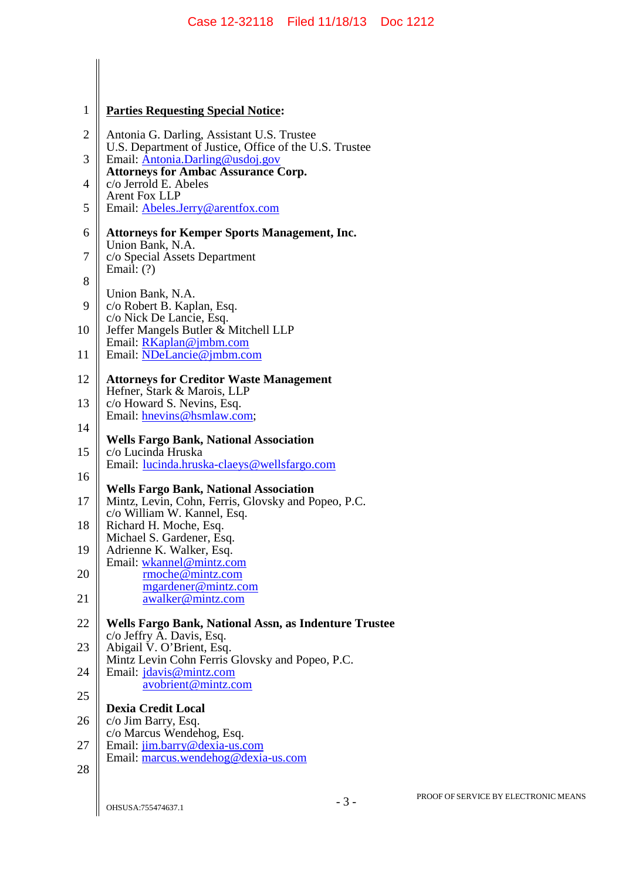| $\mathbf{1}$   | <b>Parties Requesting Special Notice:</b>                                                                |
|----------------|----------------------------------------------------------------------------------------------------------|
| $\overline{2}$ | Antonia G. Darling, Assistant U.S. Trustee<br>U.S. Department of Justice, Office of the U.S. Trustee     |
| 3              | Email: Antonia.Darling@usdoj.gov<br><b>Attorneys for Ambac Assurance Corp.</b>                           |
| $\overline{4}$ | c/o Jerrold E. Abeles<br><b>Arent Fox LLP</b>                                                            |
| 5              | Email: Abeles.Jerry@arentfox.com                                                                         |
| 6<br>7         | <b>Attorneys for Kemper Sports Management, Inc.</b><br>Union Bank, N.A.<br>c/o Special Assets Department |
| 8              | Email: $(?)$                                                                                             |
| 9              | Union Bank, N.A.<br>c/o Robert B. Kaplan, Esq.                                                           |
| 10             | c/o Nick De Lancie, Esq.<br>Jeffer Mangels Butler & Mitchell LLP                                         |
| 11             | Email: RKaplan@jmbm.com<br>Email: NDeLancie@jmbm.com                                                     |
| 12             | <b>Attorneys for Creditor Waste Management</b><br>Hefner, Stark & Marois, LLP                            |
| 13             | c/o Howard S. Nevins, Esq.<br>Email: hnevins@hsmlaw.com;                                                 |
| 14             | <b>Wells Fargo Bank, National Association</b>                                                            |
| 15             | c/o Lucinda Hruska<br>Email: <u>lucinda.hruska-claeys@wellsfargo.com</u>                                 |
| 16             | <b>Wells Fargo Bank, National Association</b>                                                            |
| 17             | Mintz, Levin, Cohn, Ferris, Glovsky and Popeo, P.C.<br>c/o William W. Kannel, Esq.                       |
| 18             | Richard H. Moche, Esq.<br>Michael S. Gardener, Esq.                                                      |
| 19             | Adrienne K. Walker, Esq.<br>Email: wkannel@mintz.com                                                     |
| 20             | rmoche@mintz.com<br>mgardener@mintz.com                                                                  |
| 21             | awalker@mintz.com                                                                                        |
| 22             | Wells Fargo Bank, National Assn, as Indenture Trustee<br>c/o Jeffry A. Davis, Esq.                       |
| 23             | Abigail V. O'Brient, Esq.<br>Mintz Levin Cohn Ferris Glovsky and Popeo, P.C.                             |
| 24             | Email: jdavis@mintz.com<br>avobrient@mintz.com                                                           |
| $25\,$         | <b>Dexia Credit Local</b>                                                                                |
| 26             | c/o Jim Barry, Esq.<br>c/o Marcus Wendehog, Esq.                                                         |
| 27             | Email: jim.barry@dexia-us.com<br>Email: marcus.wendehog@dexia-us.com                                     |
| 28             |                                                                                                          |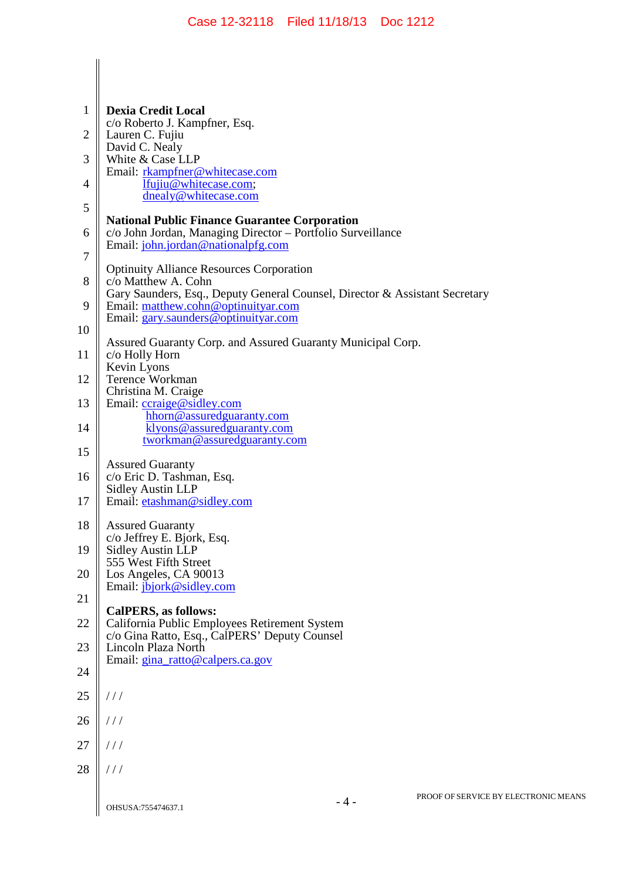| 1              | <b>Dexia Credit Local</b>                                                                                                                                 |
|----------------|-----------------------------------------------------------------------------------------------------------------------------------------------------------|
| 2              | c/o Roberto J. Kampfner, Esq.<br>Lauren C. Fujiu                                                                                                          |
|                | David C. Nealy                                                                                                                                            |
| 3              | White & Case LLP<br>Email: rkampfner@whitecase.com                                                                                                        |
| $\overline{4}$ | lfujiu@whitecase.com;<br>dnealy@whitecase.com                                                                                                             |
| 5              |                                                                                                                                                           |
| 6              | <b>National Public Finance Guarantee Corporation</b><br>c/o John Jordan, Managing Director - Portfolio Surveillance<br>Email: john.jordan@nationalpfg.com |
| 7              | <b>Optinuity Alliance Resources Corporation</b>                                                                                                           |
| 8              | c/o Matthew A. Cohn<br>Gary Saunders, Esq., Deputy General Counsel, Director & Assistant Secretary                                                        |
| 9<br>10        | Email: matthew.cohn@optinuityar.com<br>Email: gary.saunders@optinuityar.com                                                                               |
| 11             | Assured Guaranty Corp. and Assured Guaranty Municipal Corp.<br>c/o Holly Horn                                                                             |
| 12             | Kevin Lyons<br><b>Terence Workman</b>                                                                                                                     |
| 13             | Christina M. Craige<br>Email: ccraige@sidley.com                                                                                                          |
| 14             | hhorn@assuredguaranty.com<br>klyons@assuredguaranty.com                                                                                                   |
| 15             | tworkman@assuredguaranty.com                                                                                                                              |
| 16             | <b>Assured Guaranty</b><br>c/o Eric D. Tashman, Esq.<br><b>Sidley Austin LLP</b>                                                                          |
| 17             | Email: etashman@sidley.com                                                                                                                                |
| 18             | <b>Assured Guaranty</b><br>c/o Jeffrey E. Bjork, Esq.                                                                                                     |
| 19             | <b>Sidley Austin LLP</b><br>555 West Fifth Street                                                                                                         |
| 20             | Los Angeles, CA 90013<br>Email: <i>jbjork@sidley.com</i>                                                                                                  |
| 21             | <b>CalPERS, as follows:</b>                                                                                                                               |
| 22             | California Public Employees Retirement System<br>c/o Gina Ratto, Esq., CalPERS' Deputy Counsel                                                            |
| 23             | Lincoln Plaza North<br>Email: gina_ratto@calpers.ca.gov                                                                                                   |
| 24             |                                                                                                                                                           |
| 25             | $\frac{1}{2}$                                                                                                                                             |
| 26             | //                                                                                                                                                        |
| 27             | //                                                                                                                                                        |
| 28             | //                                                                                                                                                        |
|                | PROOF OF SERVICE BY ELECTRONIC MEANS<br>$-4-$<br>OHSUSA:755474637.1                                                                                       |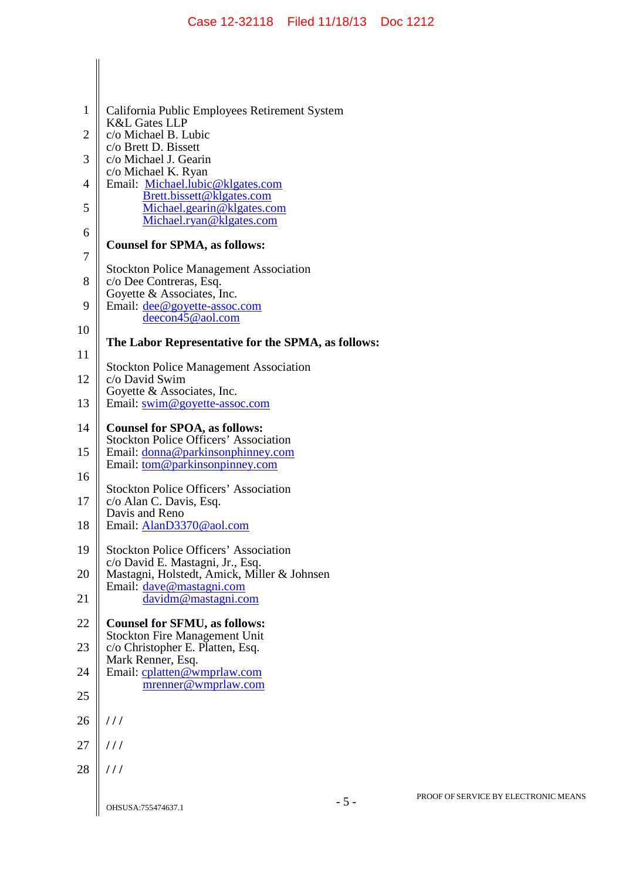| 1              | California Public Employees Retirement System                                                 |
|----------------|-----------------------------------------------------------------------------------------------|
| $\overline{2}$ | <b>K&amp;L Gates LLP</b><br>c/o Michael B. Lubic                                              |
| 3              | c/o Brett D. Bissett<br>c/o Michael J. Gearin                                                 |
| $\overline{4}$ | c/o Michael K. Ryan<br>Email: Michael.lubic@klgates.com                                       |
| 5              | Brett.bissett@klgates.com<br>Michael.gearin@klgates.com<br>Michael.ryan@klgates.com           |
| 6              | <b>Counsel for SPMA, as follows:</b>                                                          |
| 7              |                                                                                               |
| 8              | <b>Stockton Police Management Association</b><br>c/o Dee Contreras, Esq.                      |
| 9              | Goyette & Associates, Inc.<br>Email: dee@goyette-assoc.com<br>deecon45@aol.com                |
| 10             | The Labor Representative for the SPMA, as follows:                                            |
| 11             |                                                                                               |
| 12             | <b>Stockton Police Management Association</b><br>c/o David Swim<br>Goyette & Associates, Inc. |
| 13             | Email: swim@goyette-assoc.com                                                                 |
| 14             | <b>Counsel for SPOA, as follows:</b><br><b>Stockton Police Officers' Association</b>          |
| 15             | Email: donna@parkinsonphinney.com<br>Email: <u>tom@parkinsonpinney.com</u>                    |
| 16             | <b>Stockton Police Officers' Association</b>                                                  |
| 17             | c/o Alan C. Davis, Esq.<br>Davis and Reno                                                     |
| 18             | Email: AlanD3370@aol.com                                                                      |
| 19             | <b>Stockton Police Officers' Association</b><br>c/o David E. Mastagni, Jr., Esq.              |
| 20             | Mastagni, Holstedt, Amick, Miller & Johnsen<br>Email: dave@mastagni.com                       |
| 21             | davidm@mastagni.com                                                                           |
| 22             | <b>Counsel for SFMU, as follows:</b><br><b>Stockton Fire Management Unit</b>                  |
| 23             | c/o Christopher E. Platten, Esq.<br>Mark Renner, Esq.                                         |
| 24             | Email: cplatten@wmprlaw.com<br>mrenner@wmprlaw.com                                            |
| 25             |                                                                                               |
| 26             | 111                                                                                           |
| 27             | 111                                                                                           |
| 28             | 111                                                                                           |
|                | $-5-$<br>OHSUSA:755474637.1                                                                   |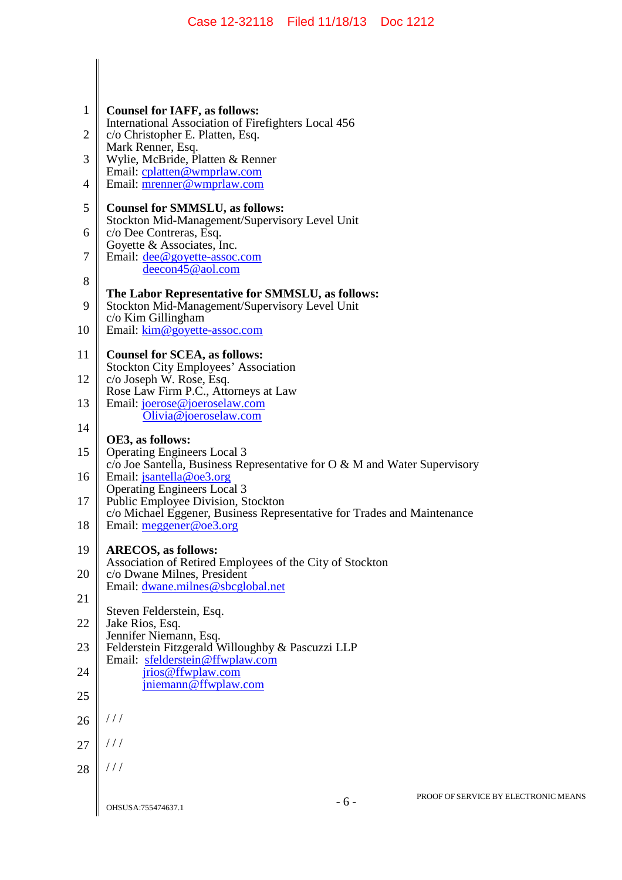| 1              | <b>Counsel for IAFF, as follows:</b>                                                                         |
|----------------|--------------------------------------------------------------------------------------------------------------|
| $\overline{2}$ | International Association of Firefighters Local 456<br>c/o Christopher E. Platten, Esq.                      |
| 3              | Mark Renner, Esq.<br>Wylie, McBride, Platten & Renner                                                        |
| $\overline{4}$ | Email: cplatten@wmprlaw.com<br>Email: mrenner@wmprlaw.com                                                    |
| 5              | <b>Counsel for SMMSLU, as follows:</b>                                                                       |
| 6              | Stockton Mid-Management/Supervisory Level Unit<br>c/o Dee Contreras, Esq.                                    |
| 7              | Goyette & Associates, Inc.<br>Email: <u>dee@goyette-assoc.com</u><br>deecon45@aol.com                        |
| 8              | The Labor Representative for SMMSLU, as follows:                                                             |
| 9              | Stockton Mid-Management/Supervisory Level Unit<br>c/o Kim Gillingham                                         |
| 10             | Email: kim@goyette-assoc.com                                                                                 |
| 11             | <b>Counsel for SCEA, as follows:</b><br><b>Stockton City Employees' Association</b>                          |
| 12             | c/o Joseph W. Rose, Esq.<br>Rose Law Firm P.C., Attorneys at Law                                             |
| 13             | Email: joerose@joeroselaw.com<br>Olivia@joeroselaw.com                                                       |
| 14             | OE3, as follows:                                                                                             |
| 15             | <b>Operating Engineers Local 3</b>                                                                           |
| 16             | c/o Joe Santella, Business Representative for O & M and Water Supervisory<br>Email: <i>jsantella@oe3.org</i> |
| 17             | <b>Operating Engineers Local 3</b><br>Public Employee Division, Stockton                                     |
| 18             | c/o Michael Eggener, Business Representative for Trades and Maintenance<br>Email: meggener@oe3.org           |
| 19             | <b>ARECOS, as follows:</b><br>Association of Retired Employees of the City of Stockton                       |
| 20             | c/o Dwane Milnes, President<br>Email: dwane.milnes@sbcglobal.net                                             |
| 21             |                                                                                                              |
| 22             | Steven Felderstein, Esq.<br>Jake Rios, Esq.<br>Jennifer Niemann, Esq.                                        |
| 23             | Felderstein Fitzgerald Willoughby & Pascuzzi LLP<br>Email: sfelderstein@ffwplaw.com                          |
| 24             | jrios@ffwplaw.com                                                                                            |
| 25             | jniemann@ffwplaw.com                                                                                         |
| 26             | ///                                                                                                          |
| 27             | 111                                                                                                          |
| 28             | $\frac{1}{2}$                                                                                                |
|                | PROOF OF SERVICE BY EI<br>$-6-$<br>OHSUSA:755474637.1                                                        |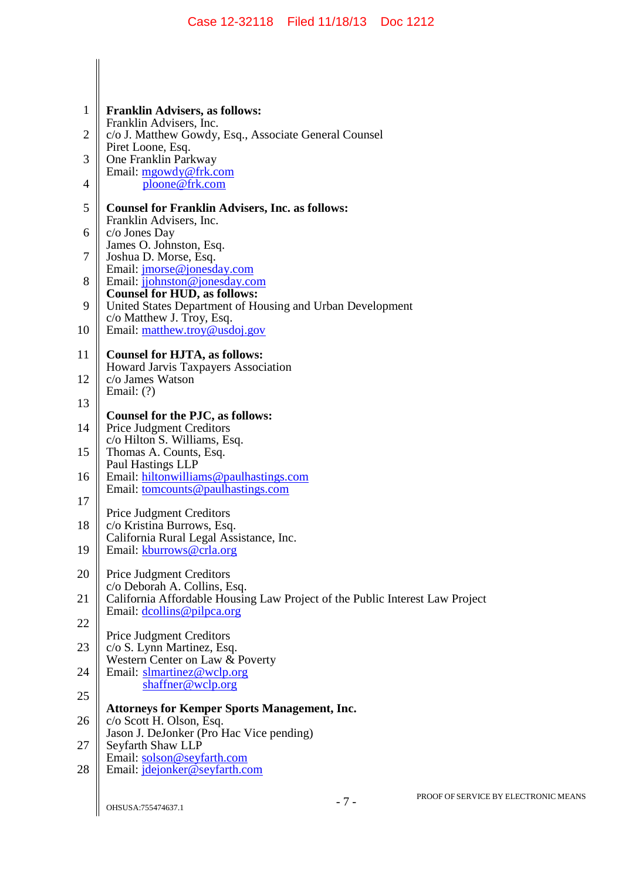| $\mathbf{1}$ | <b>Franklin Advisers, as follows:</b><br>Franklin Advisers, Inc.                                           |
|--------------|------------------------------------------------------------------------------------------------------------|
| 2            | c/o J. Matthew Gowdy, Esq., Associate General Counsel<br>Piret Loone, Esq.                                 |
| 3            | One Franklin Parkway<br>Email: mgowdy@frk.com                                                              |
| 4            | ploone@frk.com                                                                                             |
| 5            | <b>Counsel for Franklin Advisers, Inc. as follows:</b><br>Franklin Advisers, Inc.                          |
| 6            | c/o Jones Day<br>James O. Johnston, Esq.                                                                   |
| 7            | Joshua D. Morse, Esq.<br>Email: <i>jmorse@jonesday.com</i>                                                 |
| 8            | Email: jjohnston@jonesday.com                                                                              |
| 9            | <b>Counsel for HUD, as follows:</b><br>United States Department of Housing and Urban Development           |
| 10           | c/o Matthew J. Troy, Esq.<br>Email: matthew.troy@usdoj.gov                                                 |
| 11           | <b>Counsel for HJTA, as follows:</b>                                                                       |
| 12           | Howard Jarvis Taxpayers Association<br>c/o James Watson                                                    |
| 13           | Email: $(?)$                                                                                               |
| 14           | Counsel for the PJC, as follows:<br><b>Price Judgment Creditors</b>                                        |
| 15           | c/o Hilton S. Williams, Esq.<br>Thomas A. Counts, Esq.                                                     |
| 16           | Paul Hastings LLP<br>Email: hiltonwilliams@paulhastings.com                                                |
| 17           | Email: tomcounts@paulhastings.com                                                                          |
| 18           | <b>Price Judgment Creditors</b><br>c/o Kristina Burrows, Esq.                                              |
| 19           | California Rural Legal Assistance, Inc.<br>Email: kburrows@crla.org                                        |
| 20           |                                                                                                            |
|              | <b>Price Judgment Creditors</b><br>c/o Deborah A. Collins, Esq.                                            |
| 21           | California Affordable Housing Law Project of the Public Interest Law Project<br>Email: dcollins@pilpca.org |
| 22           | <b>Price Judgment Creditors</b>                                                                            |
| 23           | c/o S. Lynn Martinez, Esq.<br>Western Center on Law & Poverty                                              |
| 24           | Email: slmartinez@wclp.org<br>shaffner@wclp.org                                                            |
| 25           | <b>Attorneys for Kemper Sports Management, Inc.</b>                                                        |
| 26           | c/o Scott H. Olson, Esq.<br>Jason J. DeJonker (Pro Hac Vice pending)                                       |
| 27           | Seyfarth Shaw LLP                                                                                          |
| 28           | Email: solson@seyfarth.com<br>Email: jdejonker@seyfarth.com                                                |
|              |                                                                                                            |

 $\begin{array}{c} \hline \end{array}$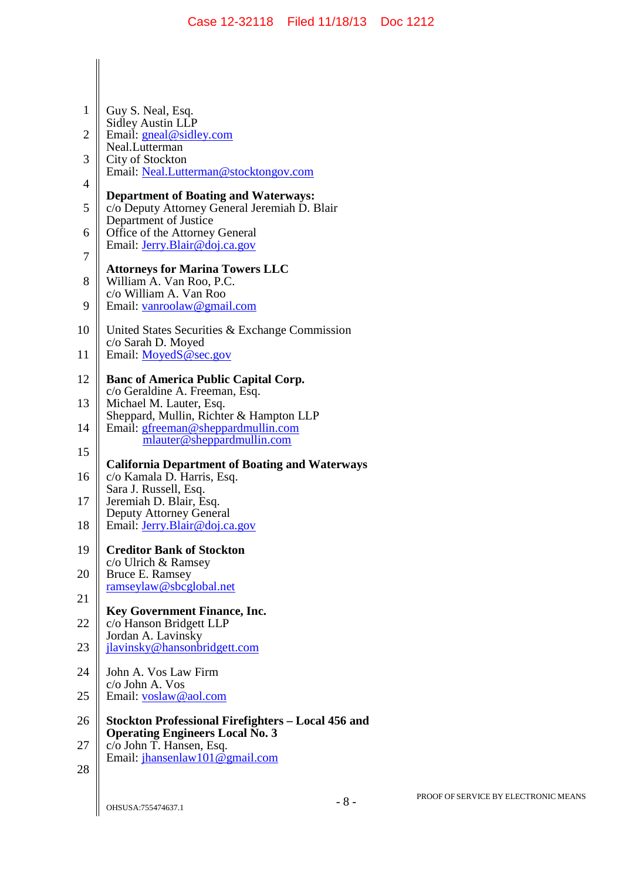| $\mathbf{1}$ | Guy S. Neal, Esq.                                                                                                     |
|--------------|-----------------------------------------------------------------------------------------------------------------------|
|              | <b>Sidley Austin LLP</b>                                                                                              |
| $\mathbf{2}$ | Email: gneal@sidley.com<br>Neal.Lutterman                                                                             |
| 3            | City of Stockton                                                                                                      |
| 4            | Email: Neal.Lutterman@stocktongov.com                                                                                 |
| 5            | <b>Department of Boating and Waterways:</b><br>c/o Deputy Attorney General Jeremiah D. Blair<br>Department of Justice |
| 6            | Office of the Attorney General                                                                                        |
| 7            | Email: <i>Jerry.Blair@doj.ca.gov</i>                                                                                  |
| 8            | <b>Attorneys for Marina Towers LLC</b><br>William A. Van Roo, P.C.                                                    |
| 9            | c/o William A. Van Roo<br>Email: vanroolaw@gmail.com                                                                  |
| 10           | United States Securities & Exchange Commission<br>c/o Sarah D. Moyed                                                  |
| 11           | Email: MoyedS @sec.gov                                                                                                |
| 12           | <b>Banc of America Public Capital Corp.</b><br>c/o Geraldine A. Freeman, Esq.                                         |
| 13           | Michael M. Lauter, Esq.                                                                                               |
| 14           | Sheppard, Mullin, Richter & Hampton LLP<br>Email: gfreeman@sheppardmullin.com<br>mlauter@sheppardmullin.com           |
| 15           |                                                                                                                       |
| 16           | <b>California Department of Boating and Waterways</b><br>c/o Kamala D. Harris, Esq.                                   |
| 17           | Sara J. Russell, Esq.<br>Jeremiah D. Blair, Esq.                                                                      |
| 18           | Deputy Attorney General<br>Email: Jerry.Blair@doj.ca.gov                                                              |
| 19           | <b>Creditor Bank of Stockton</b>                                                                                      |
| 20           | c/o Ulrich & Ramsey<br>Bruce E. Ramsey                                                                                |
| 21           | ramseylaw@sbcglobal.net                                                                                               |
| 22           | <b>Key Government Finance, Inc.</b><br>c/o Hanson Bridgett LLP                                                        |
| 23           | Jordan A. Lavinsky<br>jlavinsky@hansonbridgett.com                                                                    |
| 24           | John A. Vos Law Firm                                                                                                  |
| 25           | c/o John A. Vos<br>Email: voslaw@aol.com                                                                              |
| 26           | Stockton Professional Firefighters – Local 456 and                                                                    |
| 27           | <b>Operating Engineers Local No. 3</b><br>c/o John T. Hansen, Esq.<br>Email: jhansenlaw101@gmail.com                  |
| 28           |                                                                                                                       |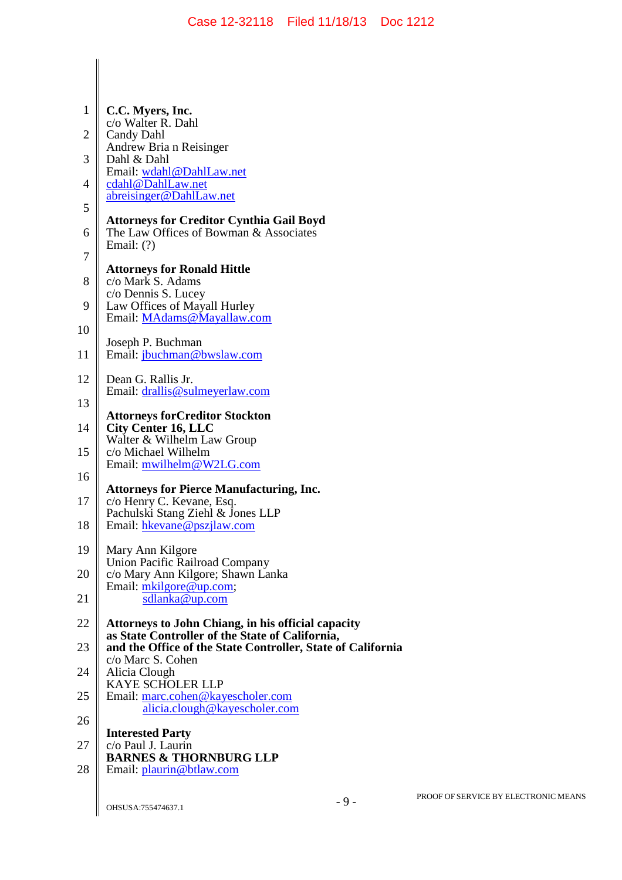| $\mathbf{1}$   | C.C. Myers, Inc.                                                                                                                    |
|----------------|-------------------------------------------------------------------------------------------------------------------------------------|
| $\overline{2}$ | c/o Walter R. Dahl<br><b>Candy Dahl</b>                                                                                             |
| 3              | Andrew Bria n Reisinger<br>Dahl & Dahl                                                                                              |
| 4              | Email: wdahl@DahlLaw.net<br>cdahl@DahlLaw.net                                                                                       |
| 5              | abreisinger@DahlLaw.net                                                                                                             |
| 6              | <b>Attorneys for Creditor Cynthia Gail Boyd</b><br>The Law Offices of Bowman & Associates<br>Email: $(?)$                           |
| 7              | <b>Attorneys for Ronald Hittle</b>                                                                                                  |
| 8              | c/o Mark S. Adams<br>c/o Dennis S. Lucey                                                                                            |
| 9              | Law Offices of Mayall Hurley<br>Email: MAdams@Mayallaw.com                                                                          |
| 10             |                                                                                                                                     |
| 11             | Joseph P. Buchman<br>Email: jbuchman@bwslaw.com                                                                                     |
| 12             | Dean G. Rallis Jr.<br>Email: drallis@sulmeyerlaw.com                                                                                |
| 13             |                                                                                                                                     |
| 14             | <b>Attorneys forCreditor Stockton</b><br><b>City Center 16, LLC</b>                                                                 |
| 15             | Walter & Wilhelm Law Group<br>c/o Michael Wilhelm                                                                                   |
| 16             | Email: mwilhelm@W2LG.com                                                                                                            |
| 17             | <b>Attorneys for Pierce Manufacturing, Inc.</b><br>c/o Henry C. Kevane, Esq.                                                        |
| 18             | Pachulski Stang Ziehl & Jones LLP<br>Email: hkevane@pszjlaw.com                                                                     |
| 19             | Mary Ann Kilgore                                                                                                                    |
| 20             | <b>Union Pacific Railroad Company</b><br>c/o Mary Ann Kilgore; Shawn Lanka                                                          |
| 21             | Email: mkilgore@up.com;<br>sdlanka@up.com                                                                                           |
| 22             | <b>Attorneys to John Chiang, in his official capacity</b>                                                                           |
| 23             | as State Controller of the State of California,<br>and the Office of the State Controller, State of California<br>c/o Marc S. Cohen |
| 24             | Alicia Clough                                                                                                                       |
| 25             | <b>KAYE SCHOLER LLP</b><br>Email: marc.cohen@kayescholer.com<br>alicia.clough@kayescholer.com                                       |
| 26             |                                                                                                                                     |
| 27             | <b>Interested Party</b><br>c/o Paul J. Laurin                                                                                       |
| 28             | <b>BARNES &amp; THORNBURG LLP</b><br>Email: plaurin@btlaw.com                                                                       |
|                |                                                                                                                                     |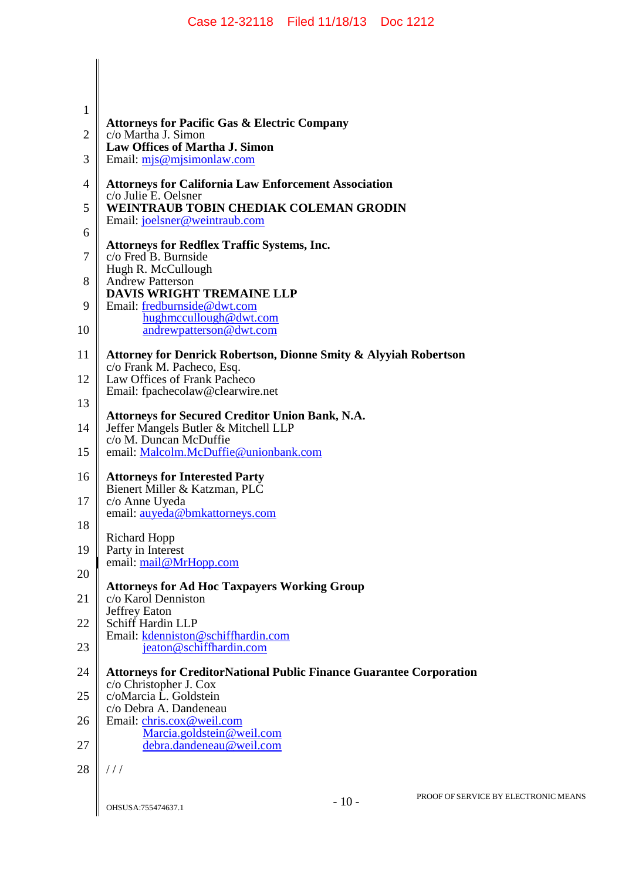| <b>Attorneys for Pacific Gas &amp; Electric Company</b>                                                                  |
|--------------------------------------------------------------------------------------------------------------------------|
| c/o Martha J. Simon<br><b>Law Offices of Martha J. Simon</b>                                                             |
| Email: mis@mjsimonlaw.com                                                                                                |
| <b>Attorneys for California Law Enforcement Association</b>                                                              |
| c/o Julie E. Oelsner<br><b>WEINTRAUB TOBIN CHEDIAK COLEMAN GRODIN</b>                                                    |
| Email: joelsner@weintraub.com                                                                                            |
| <b>Attorneys for Redflex Traffic Systems, Inc.</b><br>c/o Fred B. Burnside                                               |
| Hugh R. McCullough<br><b>Andrew Patterson</b>                                                                            |
| <b>DAVIS WRIGHT TREMAINE LLP</b><br>Email: fredburnside@dwt.com                                                          |
| hughmccullough@dwt.com<br>andrewpatterson@dwt.com                                                                        |
| Attorney for Denrick Robertson, Dionne Smity & Alyyiah Robertson                                                         |
| c/o Frank M. Pacheco, Esq.<br>Law Offices of Frank Pacheco<br>Email: fpachecolaw@clearwire.net                           |
|                                                                                                                          |
| <b>Attorneys for Secured Creditor Union Bank, N.A.</b><br>Jeffer Mangels Butler & Mitchell LLP<br>c/o M. Duncan McDuffie |
| email: Malcolm.McDuffie@unionbank.com                                                                                    |
| <b>Attorneys for Interested Party</b><br>Bienert Miller & Katzman, PLC                                                   |
| c/o Anne Uyeda<br>email: auyeda@bmkattorneys.com                                                                         |
| <b>Richard Hopp</b>                                                                                                      |
| Party in Interest<br>email: mail@MrHopp.com                                                                              |
| <b>Attorneys for Ad Hoc Taxpayers Working Group</b>                                                                      |
| c/o Karol Denniston<br>Jeffrey Eaton                                                                                     |
| Schiff Hardin LLP<br>Email: kdenniston@schiffhardin.com                                                                  |
| jeaton@schiffhardin.com                                                                                                  |
| <b>Attorneys for CreditorNational Public Finance Guarantee Corporation</b><br>c/o Christopher J. Cox                     |
| c/oMarcia L. Goldstein                                                                                                   |
| c/o Debra A. Dandeneau<br>Email: chris.cox@weil.com<br>Marcia.goldstein@weil.com                                         |
| debra.dandeneau@weil.com                                                                                                 |
| //                                                                                                                       |
|                                                                                                                          |